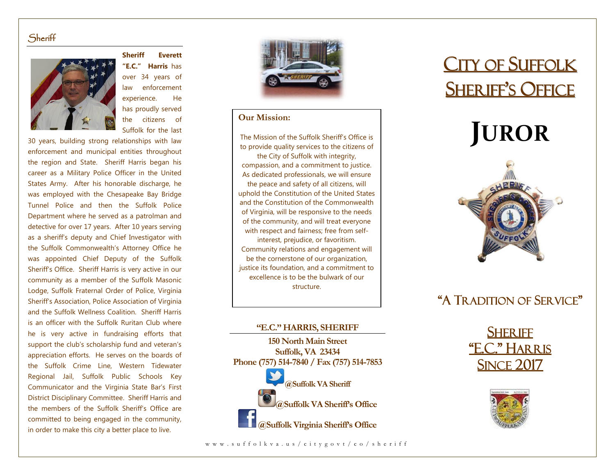### **Sheriff**



**Sheriff Everett "E.C." Harris** has over 34 years of law enforcement experience. He has proudly served the citizens of Suffolk for the last

30 years, building strong relationships with law enforcement and municipal entities throughout the region and State. Sheriff Harris began his career as a Military Police Officer in the United States Army. After his honorable discharge, he was employed with the Chesapeake Bay Bridge Tunnel Police and then the Suffolk Police Department where he served as a patrolman and detective for over 17 years. After 10 years serving as a sheriff's deputy and Chief Investigator with the Suffolk Commonwealth's Attorney Office he was appointed Chief Deputy of the Suffolk Sheriff's Office. Sheriff Harris is very active in our community as a member of the Suffolk Masonic Lodge, Suffolk Fraternal Order of Police, Virginia Sheriff's Association, Police Association of Virginia and the Suffolk Wellness Coalition. Sheriff Harris is an officer with the Suffolk Ruritan Club where he is very active in fundraising efforts that support the club's scholarship fund and veteran's appreciation efforts. He serves on the boards of the Suffolk Crime Line, Western Tidewater Regional Jail, Suffolk Public Schools Key Communicator and the Virginia State Bar's First District Disciplinary Committee. Sheriff Harris and the members of the Suffolk Sheriff's Office are committed to being engaged in the community, in order to make this city a better place to live.



### **Our Mission:**

The Mission of the Suffolk Sheriff's Office is to provide quality services to the citizens of the City of Suffolk with integrity, compassion, and a commitment to justice. As dedicated professionals, we will ensure the peace and safety of all citizens, will uphold the Constitution of the United States and the Constitution of the Commonwealth of Virginia, will be responsive to the needs of the community, and will treat everyone with respect and fairness; free from selfinterest, prejudice, or favoritism. Community relations and engagement will be the cornerstone of our organization, justice its foundation, and a commitment to excellence is to be the bulwark of our structure.

### **"E.C." HARRIS, SHERIFF**

**150 North Main Street Suffolk, VA 23434 Phone (757) 514-7840 / Fax (757) 514-7853 @Suffolk VA Sheriff @Suffolk VA Sheriff's Office**

**@Suffolk Virginia Sheriff's Office**

## **CITY OF SUFFOLK SHERIFF'S OFFICE**

# **JUROR**



### "A TRADITION OF SERVICE"